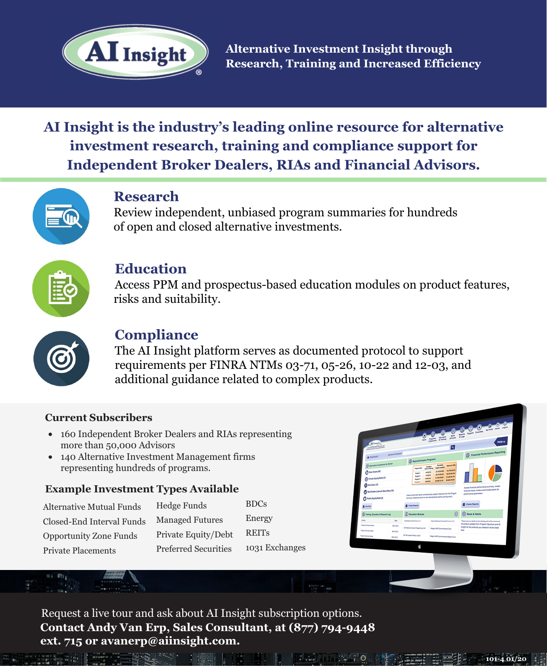

**Alternative Investment Insight through Research, Training and Increased Efficiency**

# **AI Insight is the industry's leading online resource for alternative investment research, training and compliance support for Independent Broker Dealers, RIAs and Financial Advisors.**



### **Research**

Review independent, unbiased program summaries for hundreds of open and closed alternative investments.



### **Education**

Access PPM and prospectus-based education modules on product features, risks and suitability.



### **Compliance**

The AI Insight platform serves as documented protocol to support requirements per FINRA NTMs 03-71, 05-26, 10-22 and 12-03, and additional guidance related to complex products.

### **Current Subscribers**

- 160 Independent Broker Dealers and RIAs representing more than 50,000 Advisors
- 140 Alternative Investment Management firms representing hundreds of programs.

#### **Example Investment Types Available**

 $\label{eq:1} \begin{array}{ll} \text{Fermi} & \text{Fermi} \\ \text{Fermi} & \text{Fermi} \end{array}$ 

| <b>Alternative Mutual Funds</b> |
|---------------------------------|
| Closed-End Interval Funds       |
| <b>Opportunity Zone Funds</b>   |
| <b>Private Placements</b>       |

Hedge Funds Managed Futures Private Equity/Debt Preferred Securities BDCs Energy REITs 1031 Exchanges

**101-4 01/20**

Request a live tour and ask about AI Insight subscription options. **Contact Andy Van Erp, Sales Consultant, at (877) 794-9448 ext. 715 or avanerp@aiinsight.com.**